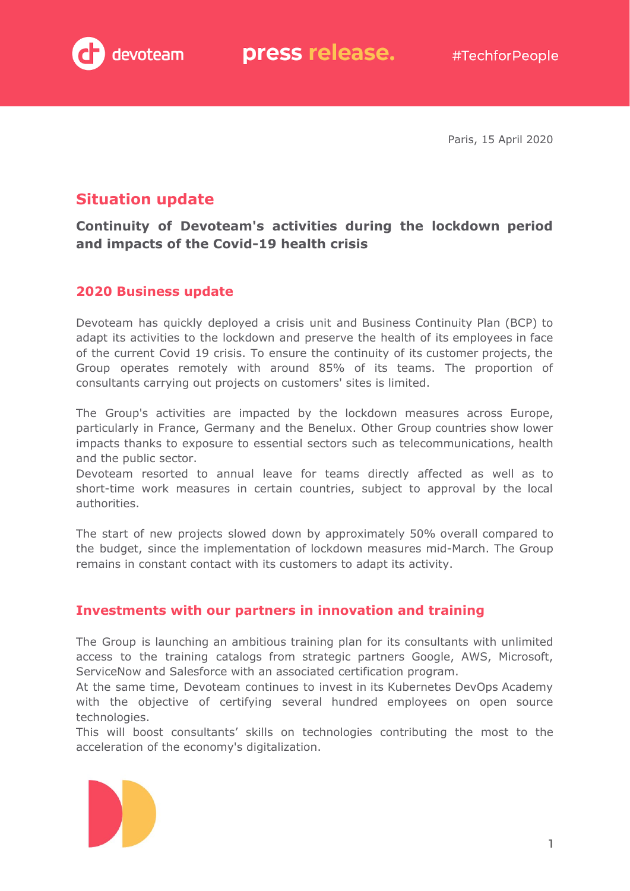

Paris, 15 April 2020

# **Situation update**

**Continuity of Devoteam's activities during the lockdown period and impacts of the Covid-19 health crisis**

# **2020 Business update**

Devoteam has quickly deployed a crisis unit and Business Continuity Plan (BCP) to adapt its activities to the lockdown and preserve the health of its employees in face of the current Covid 19 crisis. To ensure the continuity of its customer projects, the Group operates remotely with around 85% of its teams. The proportion of consultants carrying out projects on customers' sites is limited.

The Group's activities are impacted by the lockdown measures across Europe, particularly in France, Germany and the Benelux. Other Group countries show lower impacts thanks to exposure to essential sectors such as telecommunications, health and the public sector.

Devoteam resorted to annual leave for teams directly affected as well as to short-time work measures in certain countries, subject to approval by the local authorities.

The start of new projects slowed down by approximately 50% overall compared to the budget, since the implementation of lockdown measures mid-March. The Group remains in constant contact with its customers to adapt its activity.

# **Investments with our partners in innovation and training**

The Group is launching an ambitious training plan for its consultants with unlimited access to the training catalogs from strategic partners Google, AWS, Microsoft, ServiceNow and Salesforce with an associated certification program.

At the same time, Devoteam continues to invest in its Kubernetes DevOps Academy with the objective of certifying several hundred employees on open source technologies.

This will boost consultants' skills on technologies contributing the most to the acceleration of the economy's digitalization.

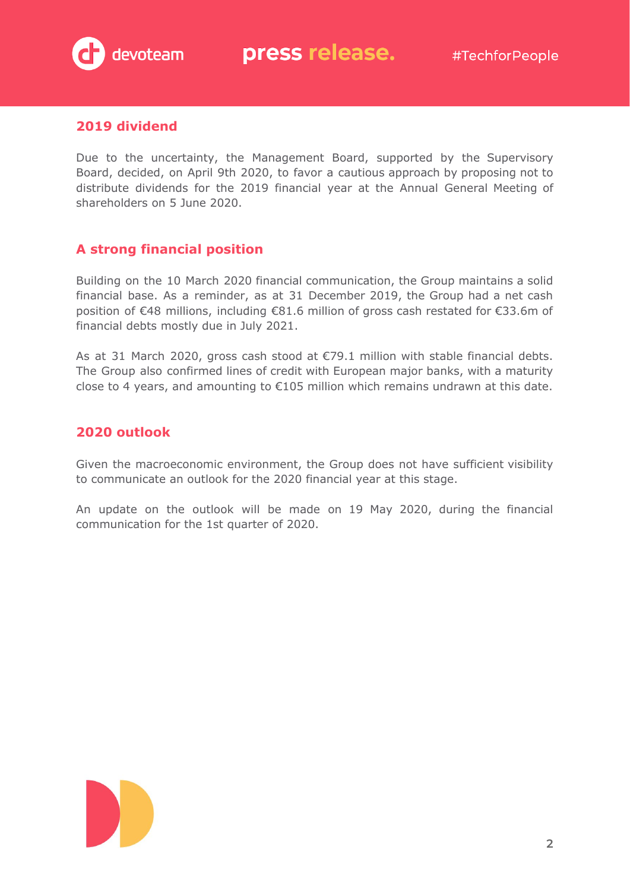

### **2019 dividend**

Due to the uncertainty, the Management Board, supported by the Supervisory Board, decided, on April 9th 2020, to favor a cautious approach by proposing not to distribute dividends for the 2019 financial year at the Annual General Meeting of shareholders on 5 June 2020.

# **A strong financial position**

Building on the 10 March 2020 financial communication, the Group maintains a solid financial base. As a reminder, as at 31 December 2019, the Group had a net cash position of €48 millions, including €81.6 million of gross cash restated for €33.6m of financial debts mostly due in July 2021.

As at 31 March 2020, gross cash stood at  $\epsilon$ 79.1 million with stable financial debts. The Group also confirmed lines of credit with European major banks, with a maturity close to 4 years, and amounting to €105 million which remains undrawn at this date.

## **2020 outlook**

Given the macroeconomic environment, the Group does not have sufficient visibility to communicate an outlook for the 2020 financial year at this stage.

An update on the outlook will be made on 19 May 2020, during the financial communication for the 1st quarter of 2020.